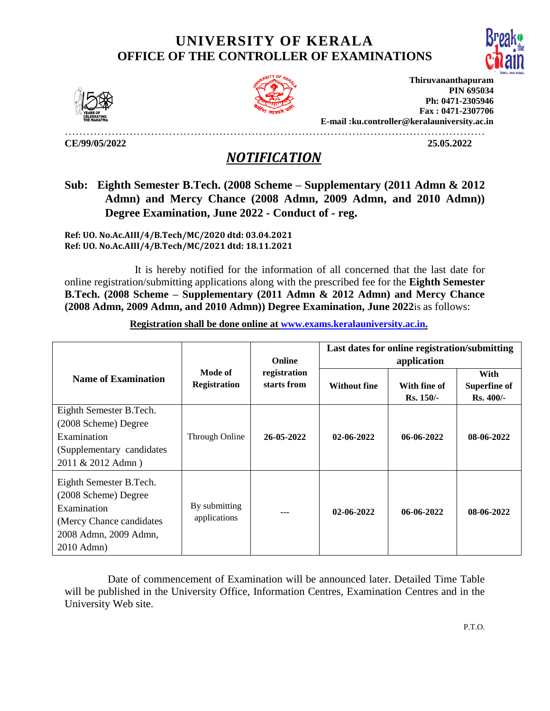## **UNIVERSITY OF KERALA OFFICE OF THE CONTROLLER OF EXAMINATIONS**





**Thiruvananthapuram PIN 695034 Ph: 0471-2305946 Fax : 0471-2307706 E-mail :ku.controller@keralauniversity.ac.in**

………………………………………………………………………………………………………

**CE/99/05/2022 25.05.2022** 

## *NOTIFICATION*

## **Sub: Eighth Semester B.Tech. (2008 Scheme – Supplementary (2011 Admn & 2012 Admn) and Mercy Chance (2008 Admn, 2009 Admn, and 2010 Admn)) Degree Examination, June 2022 - Conduct of - reg.**

**Ref: UO. No.Ac.AIII/4/B.Tech/MC/2020 dtd: 03.04.2021 Ref: UO. No.Ac.AIII/4/B.Tech/MC/2021 dtd: 18.11.2021**

 It is hereby notified for the information of all concerned that the last date for online registration/submitting applications along with the prescribed fee for the **Eighth Semester B.Tech. (2008 Scheme – Supplementary (2011 Admn & 2012 Admn) and Mercy Chance (2008 Admn, 2009 Admn, and 2010 Admn)) Degree Examination, June 2022**is as follows:

|                                           |                                | <b>Online</b>               | Last dates for online registration/submitting<br>application |                             |                                           |  |
|-------------------------------------------|--------------------------------|-----------------------------|--------------------------------------------------------------|-----------------------------|-------------------------------------------|--|
| <b>Name of Examination</b>                | Mode of<br><b>Registration</b> | registration<br>starts from | <b>Without fine</b>                                          | With fine of<br>$Rs. 150/-$ | With<br><b>Superfine of</b><br>$Rs.400/-$ |  |
| Eighth Semester B.Tech.                   |                                |                             |                                                              |                             |                                           |  |
| (2008 Scheme) Degree                      | Through Online                 |                             |                                                              | 06-06-2022                  | 08-06-2022                                |  |
| Examination                               |                                | 26-05-2022                  | 02-06-2022                                                   |                             |                                           |  |
| (Supplementary candidates)                |                                |                             |                                                              |                             |                                           |  |
| 2011 & 2012 Admn)                         |                                |                             |                                                              |                             |                                           |  |
| Eighth Semester B.Tech.                   |                                |                             |                                                              |                             |                                           |  |
| (2008 Scheme) Degree                      |                                |                             |                                                              |                             |                                           |  |
| Examination                               | By submitting                  | $--$                        | 02-06-2022                                                   |                             | 08-06-2022                                |  |
| applications<br>(Mercy Chance candidates) |                                |                             |                                                              |                             |                                           |  |
| 2008 Admn, 2009 Admn,                     |                                |                             |                                                              | 06-06-2022                  |                                           |  |
| 2010 Admn)                                |                                |                             |                                                              |                             |                                           |  |

**Registration shall be done online at [www.exams.keralauniversity.ac.in.](http://www.exams.keralauniversity.ac.in/)** 

 Date of commencement of Examination will be announced later. Detailed Time Table will be published in the University Office, Information Centres, Examination Centres and in the University Web site.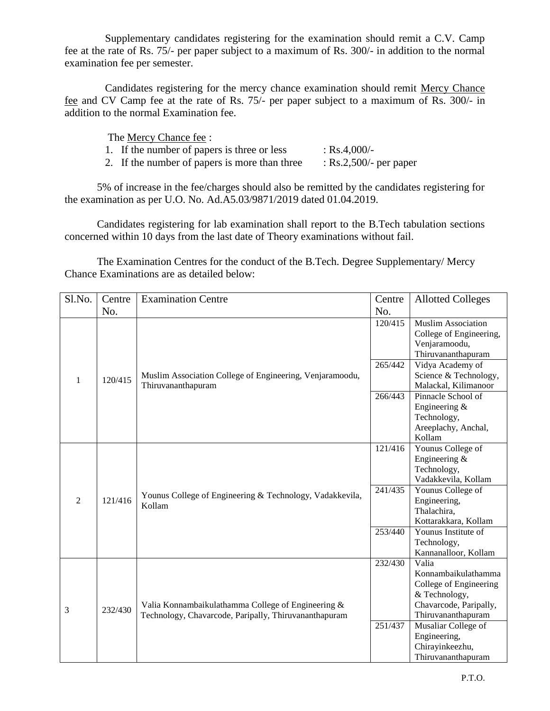Supplementary candidates registering for the examination should remit a C.V. Camp fee at the rate of Rs. 75/- per paper subject to a maximum of Rs. 300/- in addition to the normal examination fee per semester.

 Candidates registering for the mercy chance examination should remit Mercy Chance fee and CV Camp fee at the rate of Rs. 75/- per paper subject to a maximum of Rs. 300/- in addition to the normal Examination fee.

The Mercy Chance fee :

| 1. If the number of papers is three or less   | : $Rs.4,000/-$            |
|-----------------------------------------------|---------------------------|
| 2. If the number of papers is more than three | : $Rs.2,500/$ - per paper |

5% of increase in the fee/charges should also be remitted by the candidates registering for the examination as per U.O. No. Ad.A5.03/9871/2019 dated 01.04.2019.

Candidates registering for lab examination shall report to the B.Tech tabulation sections concerned within 10 days from the last date of Theory examinations without fail.

The Examination Centres for the conduct of the B.Tech. Degree Supplementary/ Mercy Chance Examinations are as detailed below:

| Sl.No.         | Centre  | Examination Centre                                                                                          |         | <b>Allotted Colleges</b>                                                                                                |
|----------------|---------|-------------------------------------------------------------------------------------------------------------|---------|-------------------------------------------------------------------------------------------------------------------------|
|                | No.     |                                                                                                             | No.     |                                                                                                                         |
| $\mathbf{1}$   | 120/415 | Muslim Association College of Engineering, Venjaramoodu,<br>Thiruvananthapuram                              | 120/415 | <b>Muslim Association</b><br>College of Engineering,<br>Venjaramoodu,<br>Thiruvananthapuram                             |
|                |         |                                                                                                             | 265/442 | Vidya Academy of<br>Science & Technology,<br>Malackal, Kilimanoor                                                       |
|                |         |                                                                                                             | 266/443 | Pinnacle School of<br>Engineering &<br>Technology,<br>Areeplachy, Anchal,<br>Kollam                                     |
| $\overline{2}$ | 121/416 | Younus College of Engineering & Technology, Vadakkevila,<br>Kollam                                          | 121/416 | Younus College of<br>Engineering &<br>Technology,<br>Vadakkevila, Kollam                                                |
|                |         |                                                                                                             | 241/435 | Younus College of<br>Engineering,<br>Thalachira,<br>Kottarakkara, Kollam                                                |
|                |         |                                                                                                             | 253/440 | Younus Institute of<br>Technology,<br>Kannanalloor, Kollam                                                              |
| 3              | 232/430 | Valia Konnambaikulathamma College of Engineering &<br>Technology, Chavarcode, Paripally, Thiruvananthapuram | 232/430 | Valia<br>Konnambaikulathamma<br>College of Engineering<br>& Technology,<br>Chavarcode, Paripally,<br>Thiruvananthapuram |
|                |         |                                                                                                             | 251/437 | Musaliar College of<br>Engineering,<br>Chirayinkeezhu,<br>Thiruvananthapuram                                            |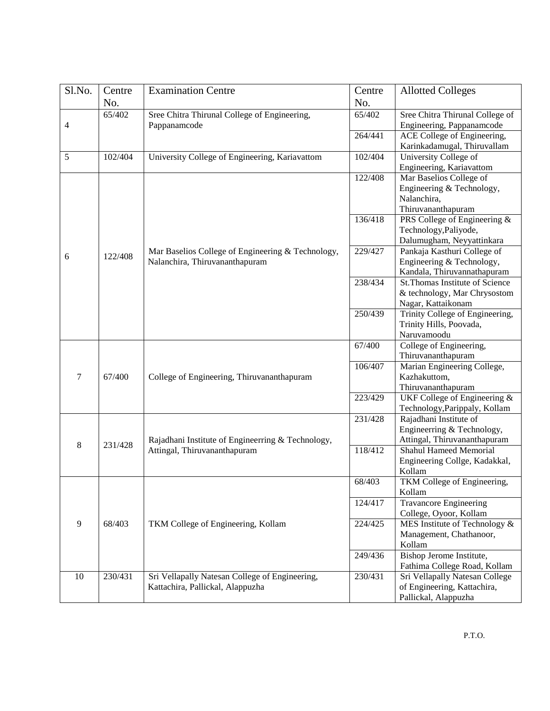| Sl.No. | Centre  | <b>Examination Centre</b>                         | Centre  | <b>Allotted Colleges</b>        |
|--------|---------|---------------------------------------------------|---------|---------------------------------|
|        | No.     |                                                   | No.     |                                 |
|        | 65/402  | Sree Chitra Thirunal College of Engineering,      | 65/402  | Sree Chitra Thirunal College of |
| 4      |         | Pappanamcode                                      |         | Engineering, Pappanamcode       |
|        |         |                                                   | 264/441 | ACE College of Engineering,     |
|        |         |                                                   |         | Karinkadamugal, Thiruvallam     |
| 5      | 102/404 | University College of Engineering, Kariavattom    | 102/404 | University College of           |
|        |         |                                                   |         | Engineering, Kariavattom        |
|        |         |                                                   | 122/408 | Mar Baselios College of         |
|        |         |                                                   |         | Engineering & Technology,       |
|        |         |                                                   |         | Nalanchira,                     |
|        |         |                                                   |         | Thiruvananthapuram              |
|        |         |                                                   | 136/418 | PRS College of Engineering &    |
|        |         |                                                   |         | Technology, Paliyode,           |
|        |         |                                                   |         | Dalumugham, Neyyattinkara       |
|        |         | Mar Baselios College of Engineering & Technology, | 229/427 | Pankaja Kasthuri College of     |
| 6      | 122/408 | Nalanchira, Thiruvananthapuram                    |         | Engineering & Technology,       |
|        |         |                                                   |         | Kandala, Thiruvannathapuram     |
|        |         |                                                   | 238/434 | St.Thomas Institute of Science  |
|        |         |                                                   |         | & technology, Mar Chrysostom    |
|        |         |                                                   |         | Nagar, Kattaikonam              |
|        |         |                                                   | 250/439 | Trinity College of Engineering, |
|        |         |                                                   |         | Trinity Hills, Poovada,         |
|        |         |                                                   |         | Naruvamoodu                     |
|        |         |                                                   | 67/400  | College of Engineering,         |
|        |         |                                                   |         | Thiruvananthapuram              |
|        |         |                                                   | 106/407 | Marian Engineering College,     |
| 7      | 67/400  | College of Engineering, Thiruvananthapuram        |         | Kazhakuttom,                    |
|        |         |                                                   |         | Thiruvananthapuram              |
|        |         |                                                   | 223/429 | UKF College of Engineering &    |
|        |         |                                                   |         | Technology, Parippaly, Kollam   |
|        |         |                                                   | 231/428 | Rajadhani Institute of          |
|        |         |                                                   |         | Engineerring & Technology,      |
|        |         | Rajadhani Institute of Engineerring & Technology, |         | Attingal, Thiruvananthapuram    |
| 8      | 231/428 | Attingal, Thiruvananthapuram                      | 118/412 | <b>Shahul Hameed Memorial</b>   |
|        |         |                                                   |         | Engineering Collge, Kadakkal,   |
|        |         |                                                   |         | Kollam                          |
|        |         |                                                   | 68/403  | TKM College of Engineering,     |
|        |         |                                                   |         | Kollam                          |
|        |         |                                                   | 124/417 | <b>Travancore Engineering</b>   |
|        |         |                                                   |         | College, Oyoor, Kollam          |
| 9      | 68/403  | TKM College of Engineering, Kollam                | 224/425 | MES Institute of Technology &   |
|        |         |                                                   |         | Management, Chathanoor,         |
|        |         |                                                   |         | Kollam                          |
|        |         |                                                   | 249/436 | Bishop Jerome Institute,        |
|        |         |                                                   |         | Fathima College Road, Kollam    |
| 10     | 230/431 | Sri Vellapally Natesan College of Engineering,    | 230/431 | Sri Vellapally Natesan College  |
|        |         | Kattachira, Pallickal, Alappuzha                  |         | of Engineering, Kattachira,     |
|        |         |                                                   |         | Pallickal, Alappuzha            |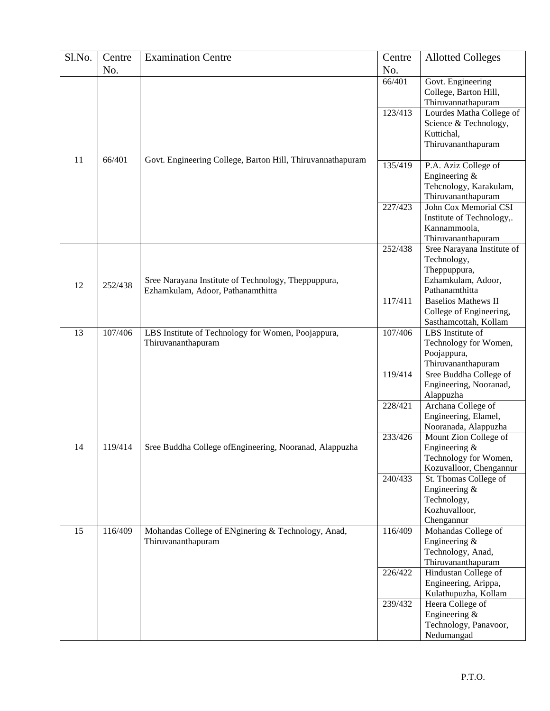| No.<br>No.<br>Govt. Engineering<br>66/401<br>College, Barton Hill,<br>Thiruvannathapuram<br>123/413<br>Lourdes Matha College of<br>Science & Technology,<br>Kuttichal,<br>Thiruvananthapuram<br>11<br>66/401<br>Govt. Engineering College, Barton Hill, Thiruvannathapuram<br>135/419<br>P.A. Aziz College of<br>Engineering $&$<br>Tehcnology, Karakulam,<br>Thiruvananthapuram<br>227/423<br>John Cox Memorial CSI<br>Institute of Technology,.<br>Kannammoola,<br>Thiruvananthapuram<br>252/438<br>Sree Narayana Institute of<br>Technology,<br>Theppuppura,<br>Ezhamkulam, Adoor,<br>Sree Narayana Institute of Technology, Theppuppura,<br>12<br>252/438<br>Pathanamthitta<br>Ezhamkulam, Adoor, Pathanamthitta<br>117/411<br><b>Baselios Mathews II</b><br>College of Engineering,<br>Sasthamcottah, Kollam<br>LBS Institute of<br>13<br>107/406<br>107/406<br>LBS Institute of Technology for Women, Poojappura,<br>Thiruvananthapuram<br>Technology for Women,<br>Poojappura,<br>Thiruvananthapuram<br>119/414<br>Sree Buddha College of<br>Engineering, Nooranad,<br>Alappuzha<br>228/421<br>Archana College of<br>Engineering, Elamel,<br>Nooranada, Alappuzha<br>233/426<br>Mount Zion College of<br>Sree Buddha College ofEngineering, Nooranad, Alappuzha<br>14<br>119/414<br>Engineering &<br>Technology for Women,<br>Kozuvalloor, Chengannur<br>240/433<br>St. Thomas College of<br>Engineering &<br>Technology,<br>Kozhuvalloor,<br>Chengannur<br>15<br>116/409<br>Mohandas College of ENginering & Technology, Anad,<br>116/409<br>Mohandas College of<br>Thiruvananthapuram<br>Engineering &<br>Technology, Anad,<br>Thiruvananthapuram<br>226/422<br>Hindustan College of<br>Engineering, Arippa,<br>Kulathupuzha, Kollam<br>239/432<br>Heera College of<br>Engineering &<br>Technology, Panavoor, | Sl.No. | Centre | <b>Examination Centre</b> | Centre | <b>Allotted Colleges</b> |
|------------------------------------------------------------------------------------------------------------------------------------------------------------------------------------------------------------------------------------------------------------------------------------------------------------------------------------------------------------------------------------------------------------------------------------------------------------------------------------------------------------------------------------------------------------------------------------------------------------------------------------------------------------------------------------------------------------------------------------------------------------------------------------------------------------------------------------------------------------------------------------------------------------------------------------------------------------------------------------------------------------------------------------------------------------------------------------------------------------------------------------------------------------------------------------------------------------------------------------------------------------------------------------------------------------------------------------------------------------------------------------------------------------------------------------------------------------------------------------------------------------------------------------------------------------------------------------------------------------------------------------------------------------------------------------------------------------------------------------------------------------------------------------------------------------------------|--------|--------|---------------------------|--------|--------------------------|
|                                                                                                                                                                                                                                                                                                                                                                                                                                                                                                                                                                                                                                                                                                                                                                                                                                                                                                                                                                                                                                                                                                                                                                                                                                                                                                                                                                                                                                                                                                                                                                                                                                                                                                                                                                                                                        |        |        |                           |        |                          |
|                                                                                                                                                                                                                                                                                                                                                                                                                                                                                                                                                                                                                                                                                                                                                                                                                                                                                                                                                                                                                                                                                                                                                                                                                                                                                                                                                                                                                                                                                                                                                                                                                                                                                                                                                                                                                        |        |        |                           |        |                          |
|                                                                                                                                                                                                                                                                                                                                                                                                                                                                                                                                                                                                                                                                                                                                                                                                                                                                                                                                                                                                                                                                                                                                                                                                                                                                                                                                                                                                                                                                                                                                                                                                                                                                                                                                                                                                                        |        |        |                           |        |                          |
|                                                                                                                                                                                                                                                                                                                                                                                                                                                                                                                                                                                                                                                                                                                                                                                                                                                                                                                                                                                                                                                                                                                                                                                                                                                                                                                                                                                                                                                                                                                                                                                                                                                                                                                                                                                                                        |        |        |                           |        |                          |
|                                                                                                                                                                                                                                                                                                                                                                                                                                                                                                                                                                                                                                                                                                                                                                                                                                                                                                                                                                                                                                                                                                                                                                                                                                                                                                                                                                                                                                                                                                                                                                                                                                                                                                                                                                                                                        |        |        |                           |        |                          |
|                                                                                                                                                                                                                                                                                                                                                                                                                                                                                                                                                                                                                                                                                                                                                                                                                                                                                                                                                                                                                                                                                                                                                                                                                                                                                                                                                                                                                                                                                                                                                                                                                                                                                                                                                                                                                        |        |        |                           |        |                          |
|                                                                                                                                                                                                                                                                                                                                                                                                                                                                                                                                                                                                                                                                                                                                                                                                                                                                                                                                                                                                                                                                                                                                                                                                                                                                                                                                                                                                                                                                                                                                                                                                                                                                                                                                                                                                                        |        |        |                           |        |                          |
|                                                                                                                                                                                                                                                                                                                                                                                                                                                                                                                                                                                                                                                                                                                                                                                                                                                                                                                                                                                                                                                                                                                                                                                                                                                                                                                                                                                                                                                                                                                                                                                                                                                                                                                                                                                                                        |        |        |                           |        |                          |
|                                                                                                                                                                                                                                                                                                                                                                                                                                                                                                                                                                                                                                                                                                                                                                                                                                                                                                                                                                                                                                                                                                                                                                                                                                                                                                                                                                                                                                                                                                                                                                                                                                                                                                                                                                                                                        |        |        |                           |        |                          |
|                                                                                                                                                                                                                                                                                                                                                                                                                                                                                                                                                                                                                                                                                                                                                                                                                                                                                                                                                                                                                                                                                                                                                                                                                                                                                                                                                                                                                                                                                                                                                                                                                                                                                                                                                                                                                        |        |        |                           |        |                          |
|                                                                                                                                                                                                                                                                                                                                                                                                                                                                                                                                                                                                                                                                                                                                                                                                                                                                                                                                                                                                                                                                                                                                                                                                                                                                                                                                                                                                                                                                                                                                                                                                                                                                                                                                                                                                                        |        |        |                           |        |                          |
|                                                                                                                                                                                                                                                                                                                                                                                                                                                                                                                                                                                                                                                                                                                                                                                                                                                                                                                                                                                                                                                                                                                                                                                                                                                                                                                                                                                                                                                                                                                                                                                                                                                                                                                                                                                                                        |        |        |                           |        |                          |
|                                                                                                                                                                                                                                                                                                                                                                                                                                                                                                                                                                                                                                                                                                                                                                                                                                                                                                                                                                                                                                                                                                                                                                                                                                                                                                                                                                                                                                                                                                                                                                                                                                                                                                                                                                                                                        |        |        |                           |        |                          |
|                                                                                                                                                                                                                                                                                                                                                                                                                                                                                                                                                                                                                                                                                                                                                                                                                                                                                                                                                                                                                                                                                                                                                                                                                                                                                                                                                                                                                                                                                                                                                                                                                                                                                                                                                                                                                        |        |        |                           |        |                          |
|                                                                                                                                                                                                                                                                                                                                                                                                                                                                                                                                                                                                                                                                                                                                                                                                                                                                                                                                                                                                                                                                                                                                                                                                                                                                                                                                                                                                                                                                                                                                                                                                                                                                                                                                                                                                                        |        |        |                           |        |                          |
|                                                                                                                                                                                                                                                                                                                                                                                                                                                                                                                                                                                                                                                                                                                                                                                                                                                                                                                                                                                                                                                                                                                                                                                                                                                                                                                                                                                                                                                                                                                                                                                                                                                                                                                                                                                                                        |        |        |                           |        |                          |
|                                                                                                                                                                                                                                                                                                                                                                                                                                                                                                                                                                                                                                                                                                                                                                                                                                                                                                                                                                                                                                                                                                                                                                                                                                                                                                                                                                                                                                                                                                                                                                                                                                                                                                                                                                                                                        |        |        |                           |        |                          |
|                                                                                                                                                                                                                                                                                                                                                                                                                                                                                                                                                                                                                                                                                                                                                                                                                                                                                                                                                                                                                                                                                                                                                                                                                                                                                                                                                                                                                                                                                                                                                                                                                                                                                                                                                                                                                        |        |        |                           |        |                          |
|                                                                                                                                                                                                                                                                                                                                                                                                                                                                                                                                                                                                                                                                                                                                                                                                                                                                                                                                                                                                                                                                                                                                                                                                                                                                                                                                                                                                                                                                                                                                                                                                                                                                                                                                                                                                                        |        |        |                           |        |                          |
|                                                                                                                                                                                                                                                                                                                                                                                                                                                                                                                                                                                                                                                                                                                                                                                                                                                                                                                                                                                                                                                                                                                                                                                                                                                                                                                                                                                                                                                                                                                                                                                                                                                                                                                                                                                                                        |        |        |                           |        |                          |
|                                                                                                                                                                                                                                                                                                                                                                                                                                                                                                                                                                                                                                                                                                                                                                                                                                                                                                                                                                                                                                                                                                                                                                                                                                                                                                                                                                                                                                                                                                                                                                                                                                                                                                                                                                                                                        |        |        |                           |        |                          |
|                                                                                                                                                                                                                                                                                                                                                                                                                                                                                                                                                                                                                                                                                                                                                                                                                                                                                                                                                                                                                                                                                                                                                                                                                                                                                                                                                                                                                                                                                                                                                                                                                                                                                                                                                                                                                        |        |        |                           |        |                          |
|                                                                                                                                                                                                                                                                                                                                                                                                                                                                                                                                                                                                                                                                                                                                                                                                                                                                                                                                                                                                                                                                                                                                                                                                                                                                                                                                                                                                                                                                                                                                                                                                                                                                                                                                                                                                                        |        |        |                           |        |                          |
|                                                                                                                                                                                                                                                                                                                                                                                                                                                                                                                                                                                                                                                                                                                                                                                                                                                                                                                                                                                                                                                                                                                                                                                                                                                                                                                                                                                                                                                                                                                                                                                                                                                                                                                                                                                                                        |        |        |                           |        |                          |
|                                                                                                                                                                                                                                                                                                                                                                                                                                                                                                                                                                                                                                                                                                                                                                                                                                                                                                                                                                                                                                                                                                                                                                                                                                                                                                                                                                                                                                                                                                                                                                                                                                                                                                                                                                                                                        |        |        |                           |        |                          |
|                                                                                                                                                                                                                                                                                                                                                                                                                                                                                                                                                                                                                                                                                                                                                                                                                                                                                                                                                                                                                                                                                                                                                                                                                                                                                                                                                                                                                                                                                                                                                                                                                                                                                                                                                                                                                        |        |        |                           |        |                          |
|                                                                                                                                                                                                                                                                                                                                                                                                                                                                                                                                                                                                                                                                                                                                                                                                                                                                                                                                                                                                                                                                                                                                                                                                                                                                                                                                                                                                                                                                                                                                                                                                                                                                                                                                                                                                                        |        |        |                           |        |                          |
|                                                                                                                                                                                                                                                                                                                                                                                                                                                                                                                                                                                                                                                                                                                                                                                                                                                                                                                                                                                                                                                                                                                                                                                                                                                                                                                                                                                                                                                                                                                                                                                                                                                                                                                                                                                                                        |        |        |                           |        |                          |
|                                                                                                                                                                                                                                                                                                                                                                                                                                                                                                                                                                                                                                                                                                                                                                                                                                                                                                                                                                                                                                                                                                                                                                                                                                                                                                                                                                                                                                                                                                                                                                                                                                                                                                                                                                                                                        |        |        |                           |        |                          |
|                                                                                                                                                                                                                                                                                                                                                                                                                                                                                                                                                                                                                                                                                                                                                                                                                                                                                                                                                                                                                                                                                                                                                                                                                                                                                                                                                                                                                                                                                                                                                                                                                                                                                                                                                                                                                        |        |        |                           |        |                          |
|                                                                                                                                                                                                                                                                                                                                                                                                                                                                                                                                                                                                                                                                                                                                                                                                                                                                                                                                                                                                                                                                                                                                                                                                                                                                                                                                                                                                                                                                                                                                                                                                                                                                                                                                                                                                                        |        |        |                           |        |                          |
|                                                                                                                                                                                                                                                                                                                                                                                                                                                                                                                                                                                                                                                                                                                                                                                                                                                                                                                                                                                                                                                                                                                                                                                                                                                                                                                                                                                                                                                                                                                                                                                                                                                                                                                                                                                                                        |        |        |                           |        |                          |
|                                                                                                                                                                                                                                                                                                                                                                                                                                                                                                                                                                                                                                                                                                                                                                                                                                                                                                                                                                                                                                                                                                                                                                                                                                                                                                                                                                                                                                                                                                                                                                                                                                                                                                                                                                                                                        |        |        |                           |        |                          |
|                                                                                                                                                                                                                                                                                                                                                                                                                                                                                                                                                                                                                                                                                                                                                                                                                                                                                                                                                                                                                                                                                                                                                                                                                                                                                                                                                                                                                                                                                                                                                                                                                                                                                                                                                                                                                        |        |        |                           |        |                          |
|                                                                                                                                                                                                                                                                                                                                                                                                                                                                                                                                                                                                                                                                                                                                                                                                                                                                                                                                                                                                                                                                                                                                                                                                                                                                                                                                                                                                                                                                                                                                                                                                                                                                                                                                                                                                                        |        |        |                           |        |                          |
|                                                                                                                                                                                                                                                                                                                                                                                                                                                                                                                                                                                                                                                                                                                                                                                                                                                                                                                                                                                                                                                                                                                                                                                                                                                                                                                                                                                                                                                                                                                                                                                                                                                                                                                                                                                                                        |        |        |                           |        |                          |
|                                                                                                                                                                                                                                                                                                                                                                                                                                                                                                                                                                                                                                                                                                                                                                                                                                                                                                                                                                                                                                                                                                                                                                                                                                                                                                                                                                                                                                                                                                                                                                                                                                                                                                                                                                                                                        |        |        |                           |        |                          |
|                                                                                                                                                                                                                                                                                                                                                                                                                                                                                                                                                                                                                                                                                                                                                                                                                                                                                                                                                                                                                                                                                                                                                                                                                                                                                                                                                                                                                                                                                                                                                                                                                                                                                                                                                                                                                        |        |        |                           |        |                          |
|                                                                                                                                                                                                                                                                                                                                                                                                                                                                                                                                                                                                                                                                                                                                                                                                                                                                                                                                                                                                                                                                                                                                                                                                                                                                                                                                                                                                                                                                                                                                                                                                                                                                                                                                                                                                                        |        |        |                           |        |                          |
|                                                                                                                                                                                                                                                                                                                                                                                                                                                                                                                                                                                                                                                                                                                                                                                                                                                                                                                                                                                                                                                                                                                                                                                                                                                                                                                                                                                                                                                                                                                                                                                                                                                                                                                                                                                                                        |        |        |                           |        |                          |
|                                                                                                                                                                                                                                                                                                                                                                                                                                                                                                                                                                                                                                                                                                                                                                                                                                                                                                                                                                                                                                                                                                                                                                                                                                                                                                                                                                                                                                                                                                                                                                                                                                                                                                                                                                                                                        |        |        |                           |        |                          |
|                                                                                                                                                                                                                                                                                                                                                                                                                                                                                                                                                                                                                                                                                                                                                                                                                                                                                                                                                                                                                                                                                                                                                                                                                                                                                                                                                                                                                                                                                                                                                                                                                                                                                                                                                                                                                        |        |        |                           |        |                          |
|                                                                                                                                                                                                                                                                                                                                                                                                                                                                                                                                                                                                                                                                                                                                                                                                                                                                                                                                                                                                                                                                                                                                                                                                                                                                                                                                                                                                                                                                                                                                                                                                                                                                                                                                                                                                                        |        |        |                           |        |                          |
|                                                                                                                                                                                                                                                                                                                                                                                                                                                                                                                                                                                                                                                                                                                                                                                                                                                                                                                                                                                                                                                                                                                                                                                                                                                                                                                                                                                                                                                                                                                                                                                                                                                                                                                                                                                                                        |        |        |                           |        |                          |
|                                                                                                                                                                                                                                                                                                                                                                                                                                                                                                                                                                                                                                                                                                                                                                                                                                                                                                                                                                                                                                                                                                                                                                                                                                                                                                                                                                                                                                                                                                                                                                                                                                                                                                                                                                                                                        |        |        |                           |        |                          |
|                                                                                                                                                                                                                                                                                                                                                                                                                                                                                                                                                                                                                                                                                                                                                                                                                                                                                                                                                                                                                                                                                                                                                                                                                                                                                                                                                                                                                                                                                                                                                                                                                                                                                                                                                                                                                        |        |        |                           |        |                          |
|                                                                                                                                                                                                                                                                                                                                                                                                                                                                                                                                                                                                                                                                                                                                                                                                                                                                                                                                                                                                                                                                                                                                                                                                                                                                                                                                                                                                                                                                                                                                                                                                                                                                                                                                                                                                                        |        |        |                           |        |                          |
|                                                                                                                                                                                                                                                                                                                                                                                                                                                                                                                                                                                                                                                                                                                                                                                                                                                                                                                                                                                                                                                                                                                                                                                                                                                                                                                                                                                                                                                                                                                                                                                                                                                                                                                                                                                                                        |        |        |                           |        |                          |
|                                                                                                                                                                                                                                                                                                                                                                                                                                                                                                                                                                                                                                                                                                                                                                                                                                                                                                                                                                                                                                                                                                                                                                                                                                                                                                                                                                                                                                                                                                                                                                                                                                                                                                                                                                                                                        |        |        |                           |        |                          |
|                                                                                                                                                                                                                                                                                                                                                                                                                                                                                                                                                                                                                                                                                                                                                                                                                                                                                                                                                                                                                                                                                                                                                                                                                                                                                                                                                                                                                                                                                                                                                                                                                                                                                                                                                                                                                        |        |        |                           |        |                          |
|                                                                                                                                                                                                                                                                                                                                                                                                                                                                                                                                                                                                                                                                                                                                                                                                                                                                                                                                                                                                                                                                                                                                                                                                                                                                                                                                                                                                                                                                                                                                                                                                                                                                                                                                                                                                                        |        |        |                           |        |                          |
|                                                                                                                                                                                                                                                                                                                                                                                                                                                                                                                                                                                                                                                                                                                                                                                                                                                                                                                                                                                                                                                                                                                                                                                                                                                                                                                                                                                                                                                                                                                                                                                                                                                                                                                                                                                                                        |        |        |                           |        |                          |
|                                                                                                                                                                                                                                                                                                                                                                                                                                                                                                                                                                                                                                                                                                                                                                                                                                                                                                                                                                                                                                                                                                                                                                                                                                                                                                                                                                                                                                                                                                                                                                                                                                                                                                                                                                                                                        |        |        |                           |        | Nedumangad               |